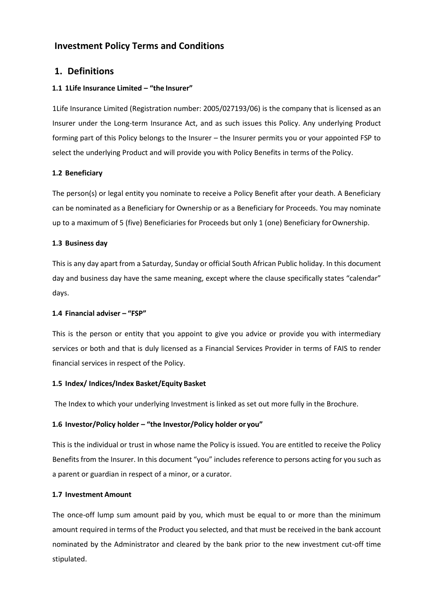# **Investment Policy Terms and Conditions**

# **1. Definitions**

## **1.1 1Life Insurance Limited – "the Insurer"**

1Life Insurance Limited (Registration number: 2005/027193/06) is the company that is licensed as an Insurer under the Long-term Insurance Act, and as such issues this Policy. Any underlying Product forming part of this Policy belongs to the Insurer – the Insurer permits you or your appointed FSP to select the underlying Product and will provide you with Policy Benefits in terms of the Policy.

## **1.2 Beneficiary**

The person(s) or legal entity you nominate to receive a Policy Benefit after your death. A Beneficiary can be nominated as a Beneficiary for Ownership or as a Beneficiary for Proceeds. You may nominate up to a maximum of 5 (five) Beneficiaries for Proceeds but only 1 (one) Beneficiary forOwnership.

## **1.3 Business day**

This is any day apart from a Saturday, Sunday or official South African Public holiday. In this document day and business day have the same meaning, except where the clause specifically states "calendar" days.

## **1.4 Financial adviser – "FSP"**

This is the person or entity that you appoint to give you advice or provide you with intermediary services or both and that is duly licensed as a Financial Services Provider in terms of FAIS to render financial services in respect of the Policy.

## **1.5 Index/ Indices/Index Basket/Equity Basket**

The Index to which your underlying Investment is linked as set out more fully in the Brochure.

## **1.6 Investor/Policy holder – "the Investor/Policy holder or you"**

This is the individual or trust in whose name the Policy is issued. You are entitled to receive the Policy Benefits from the Insurer. In this document "you" includes reference to persons acting for you such as a parent or guardian in respect of a minor, or a curator.

## **1.7 Investment Amount**

The once-off lump sum amount paid by you, which must be equal to or more than the minimum amount required in terms of the Product you selected, and that must be received in the bank account nominated by the Administrator and cleared by the bank prior to the new investment cut-off time stipulated.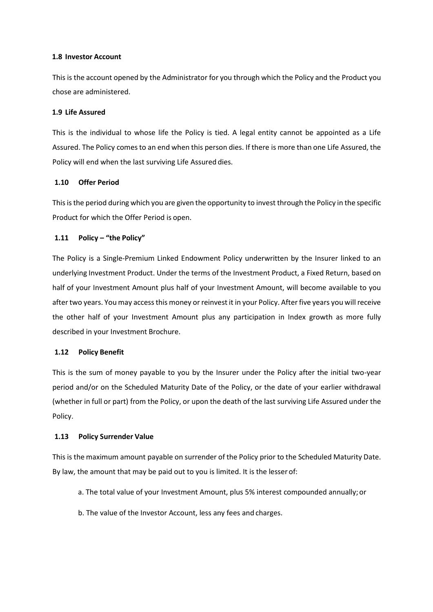## **1.8 Investor Account**

This is the account opened by the Administrator for you through which the Policy and the Product you chose are administered.

## **1.9 Life Assured**

This is the individual to whose life the Policy is tied. A legal entity cannot be appointed as a Life Assured. The Policy comes to an end when this person dies. If there is more than one Life Assured, the Policy will end when the last surviving Life Assured dies.

## **1.10 Offer Period**

Thisisthe period during which you are given the opportunity to invest through the Policy in the specific Product for which the Offer Period is open.

## **1.11 Policy – "the Policy"**

The Policy is a Single-Premium Linked Endowment Policy underwritten by the Insurer linked to an underlying Investment Product. Under the terms of the Investment Product, a Fixed Return, based on half of your Investment Amount plus half of your Investment Amount, will become available to you after two years. You may access this money or reinvest it in your Policy. After five years you will receive the other half of your Investment Amount plus any participation in Index growth as more fully described in your Investment Brochure.

## **1.12 Policy Benefit**

This is the sum of money payable to you by the Insurer under the Policy after the initial two-year period and/or on the Scheduled Maturity Date of the Policy, or the date of your earlier withdrawal (whether in full or part) from the Policy, or upon the death of the last surviving Life Assured under the Policy.

## **1.13 Policy Surrender Value**

This is the maximum amount payable on surrender of the Policy prior to the Scheduled Maturity Date. By law, the amount that may be paid out to you is limited. It is the lesser of:

- a. The total value of your Investment Amount, plus 5% interest compounded annually;or
- b. The value of the Investor Account, less any fees and charges.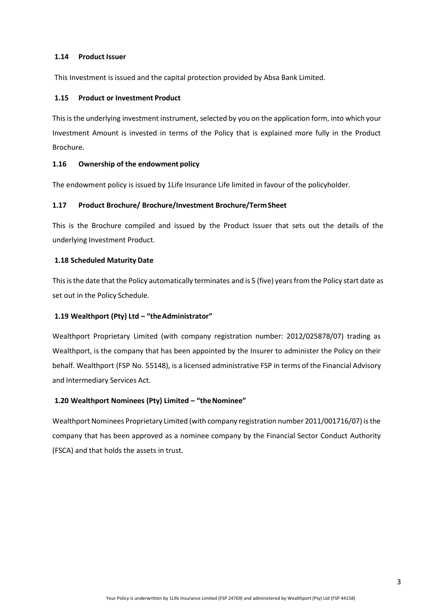## **1.14 Product Issuer**

This Investment is issued and the capital protection provided by Absa Bank Limited.

## **1.15 Product or Investment Product**

Thisis the underlying investment instrument, selected by you on the application form, into which your Investment Amount is invested in terms of the Policy that is explained more fully in the Product Brochure.

## **1.16 Ownership of the endowment policy**

The endowment policy is issued by 1Life Insurance Life limited in favour of the policyholder.

## **1.17 Product Brochure/ Brochure/Investment Brochure/TermSheet**

This is the Brochure compiled and issued by the Product Issuer that sets out the details of the underlying Investment Product.

## **1.18 Scheduled Maturity Date**

This is the date that the Policy automatically terminates and is 5 (five) years from the Policy start date as set out in the Policy Schedule.

## **1.19 Wealthport (Pty) Ltd – "theAdministrator"**

Wealthport Proprietary Limited (with company registration number: 2012/025878/07) trading as Wealthport, is the company that has been appointed by the Insurer to administer the Policy on their behalf. Wealthport (FSP No. 55148), is a licensed administrative FSP in terms of the Financial Advisory and Intermediary Services Act.

## **1.20 Wealthport Nominees (Pty) Limited – "theNominee"**

Wealthport Nominees Proprietary Limited (with company registration number 2011/001716/07) is the company that has been approved as a nominee company by the Financial Sector Conduct Authority (FSCA) and that holds the assets in trust.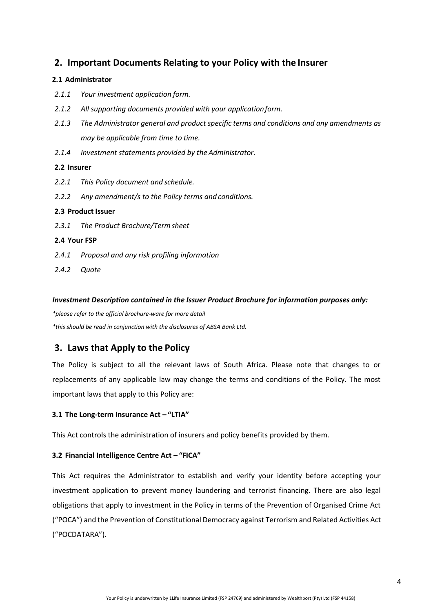# **2. Important Documents Relating to your Policy with the Insurer**

#### **2.1 Administrator**

- *2.1.1 Your investment application form.*
- *2.1.2 All supporting documents provided with your applicationform.*
- *2.1.3 The Administrator general and product specific terms and conditions and any amendments as may be applicable from time to time.*
- *2.1.4 Investment statements provided by the Administrator.*

#### **2.2 Insurer**

- *2.2.1 This Policy document and schedule.*
- *2.2.2 Any amendment/s to the Policy terms and conditions.*

## **2.3 Product Issuer**

*2.3.1 The Product Brochure/Termsheet*

## **2.4 Your FSP**

- *2.4.1 Proposal and any risk profiling information*
- *2.4.2 Quote*

## *Investment Description contained in the Issuer Product Brochure for information purposes only:*

*\*please refer to the official brochure-ware for more detail \*this should be read in conjunction with the disclosures of ABSA Bank Ltd.*

# **3. Laws that Apply to the Policy**

The Policy is subject to all the relevant laws of South Africa. Please note that changes to or replacements of any applicable law may change the terms and conditions of the Policy. The most important laws that apply to this Policy are:

## **3.1 The Long-term Insurance Act – "LTIA"**

This Act controls the administration of insurers and policy benefits provided by them.

## **3.2 Financial Intelligence Centre Act – "FICA"**

This Act requires the Administrator to establish and verify your identity before accepting your investment application to prevent money laundering and terrorist financing. There are also legal obligations that apply to investment in the Policy in terms of the Prevention of Organised Crime Act ("POCA") and the Prevention of Constitutional Democracy against Terrorism and Related Activities Act ("POCDATARA").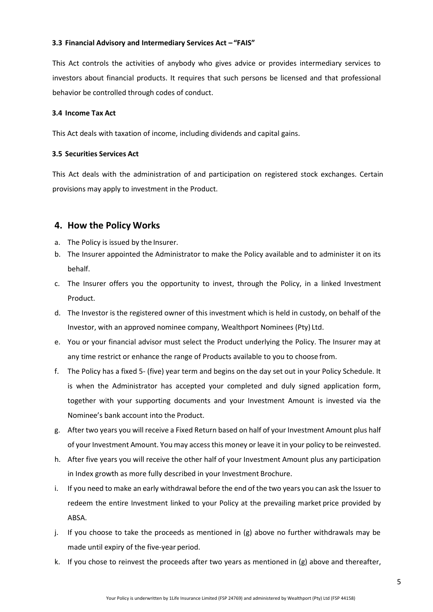## **3.3 Financial Advisory and Intermediary Services Act – "FAIS"**

This Act controls the activities of anybody who gives advice or provides intermediary services to investors about financial products. It requires that such persons be licensed and that professional behavior be controlled through codes of conduct.

#### **3.4 Income Tax Act**

This Act deals with taxation of income, including dividends and capital gains.

## **3.5 Securities Services Act**

This Act deals with the administration of and participation on registered stock exchanges. Certain provisions may apply to investment in the Product.

# **4. How the Policy Works**

- a. The Policy is issued by the Insurer.
- b. The Insurer appointed the Administrator to make the Policy available and to administer it on its behalf.
- c. The Insurer offers you the opportunity to invest, through the Policy, in a linked Investment Product.
- d. The Investor is the registered owner of this investment which is held in custody, on behalf of the Investor, with an approved nominee company, Wealthport Nominees (Pty) Ltd.
- e. You or your financial advisor must select the Product underlying the Policy. The Insurer may at any time restrict or enhance the range of Products available to you to choose from.
- f. The Policy has a fixed 5- (five) year term and begins on the day set out in your Policy Schedule. It is when the Administrator has accepted your completed and duly signed application form, together with your supporting documents and your Investment Amount is invested via the Nominee's bank account into the Product.
- g. After two years you will receive a Fixed Return based on half of your Investment Amount plus half of your Investment Amount. You may access this money or leave it in your policy to be reinvested.
- h. After five years you will receive the other half of your Investment Amount plus any participation in Index growth as more fully described in your Investment Brochure.
- i. If you need to make an early withdrawal before the end of the two years you can ask the Issuer to redeem the entire Investment linked to your Policy at the prevailing market price provided by ABSA.
- j. If you choose to take the proceeds as mentioned in  $(g)$  above no further withdrawals may be made until expiry of the five-year period.
- k. If you chose to reinvest the proceeds after two years as mentioned in (g) above and thereafter,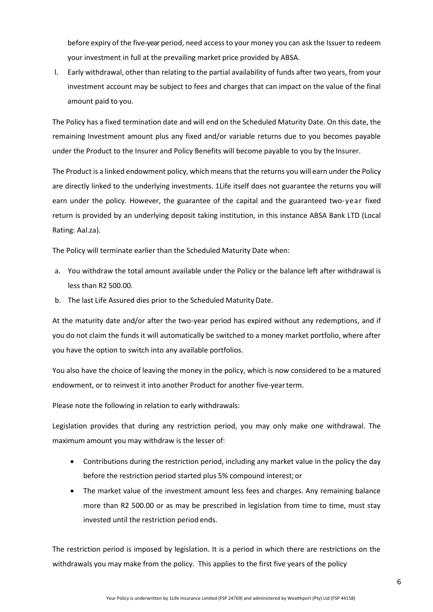before expiry of the five-year period, need accessto your money you can ask the Issuer to redeem your investment in full at the prevailing market price provided by ABSA.

l. Early withdrawal, other than relating to the partial availability of funds after two years, from your investment account may be subject to fees and charges that can impact on the value of the final amount paid to you.

The Policy has a fixed termination date and will end on the Scheduled Maturity Date. On this date, the remaining Investment amount plus any fixed and/or variable returns due to you becomes payable under the Product to the Insurer and Policy Benefits will become payable to you by the Insurer.

The Product is a linked endowment policy, which means that the returns you will earn under the Policy are directly linked to the underlying investments. 1Life itself does not guarantee the returns you will earn under the policy. However, the guarantee of the capital and the guaranteed two-year fixed return is provided by an underlying deposit taking institution, in this instance ABSA Bank LTD (Local Rating: Aal.za).

The Policy will terminate earlier than the Scheduled Maturity Date when:

- a. You withdraw the total amount available under the Policy or the balance left after withdrawal is less than R2 500.00.
- b. The last Life Assured dies prior to the Scheduled Maturity Date.

At the maturity date and/or after the two-year period has expired without any redemptions, and if you do not claim the funds it will automatically be switched to a money market portfolio, where after you have the option to switch into any available portfolios.

You also have the choice of leaving the money in the policy, which is now considered to be a matured endowment, or to reinvest it into another Product for another five-yearterm.

Please note the following in relation to early withdrawals:

Legislation provides that during any restriction period, you may only make one withdrawal. The maximum amount you may withdraw is the lesser of:

- Contributions during the restriction period, including any market value in the policy the day before the restriction period started plus 5% compound interest; or
- The market value of the investment amount less fees and charges. Any remaining balance more than R2 500.00 or as may be prescribed in legislation from time to time, must stay invested until the restriction period ends.

The restriction period is imposed by legislation. It is a period in which there are restrictions on the withdrawals you may make from the policy. This applies to the first five years of the policy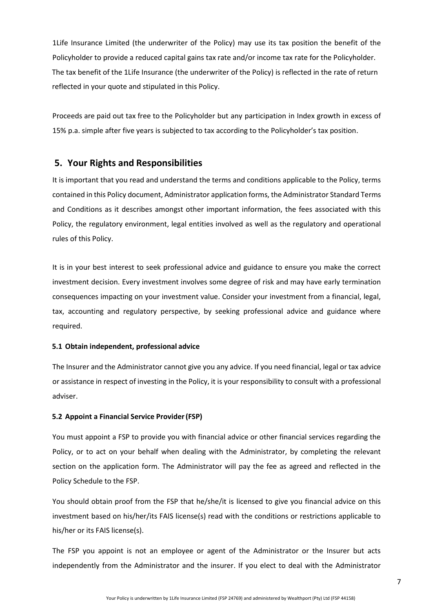1Life Insurance Limited (the underwriter of the Policy) may use its tax position the benefit of the Policyholder to provide a reduced capital gains tax rate and/or income tax rate for the Policyholder. The tax benefit of the 1Life Insurance (the underwriter of the Policy) is reflected in the rate of return reflected in your quote and stipulated in this Policy.

Proceeds are paid out tax free to the Policyholder but any participation in Index growth in excess of 15% p.a. simple after five years is subjected to tax according to the Policyholder's tax position.

## **5. Your Rights and Responsibilities**

It is important that you read and understand the terms and conditions applicable to the Policy, terms contained in this Policy document, Administrator application forms, the Administrator Standard Terms and Conditions as it describes amongst other important information, the fees associated with this Policy, the regulatory environment, legal entities involved as well as the regulatory and operational rules of this Policy.

It is in your best interest to seek professional advice and guidance to ensure you make the correct investment decision. Every investment involves some degree of risk and may have early termination consequences impacting on your investment value. Consider your investment from a financial, legal, tax, accounting and regulatory perspective, by seeking professional advice and guidance where required.

#### **5.1 Obtain independent, professional advice**

The Insurer and the Administrator cannot give you any advice. If you need financial, legal or tax advice or assistance in respect of investing in the Policy, it is your responsibility to consult with a professional adviser.

## **5.2 Appoint a Financial Service Provider(FSP)**

You must appoint a FSP to provide you with financial advice or other financial services regarding the Policy, or to act on your behalf when dealing with the Administrator, by completing the relevant section on the application form. The Administrator will pay the fee as agreed and reflected in the Policy Schedule to the FSP.

You should obtain proof from the FSP that he/she/it is licensed to give you financial advice on this investment based on his/her/its FAIS license(s) read with the conditions or restrictions applicable to his/her or its FAIS license(s).

The FSP you appoint is not an employee or agent of the Administrator or the Insurer but acts independently from the Administrator and the insurer. If you elect to deal with the Administrator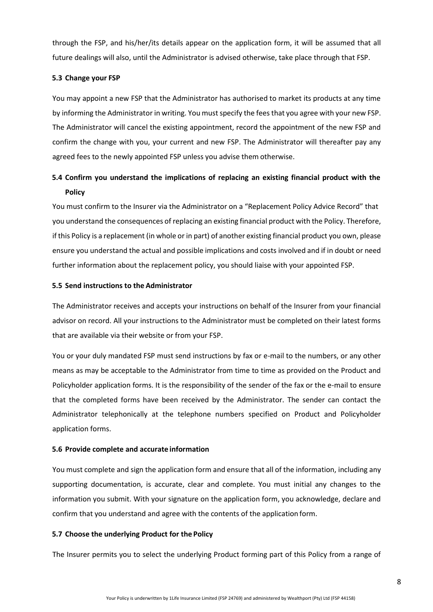through the FSP, and his/her/its details appear on the application form, it will be assumed that all future dealings will also, until the Administrator is advised otherwise, take place through that FSP.

## **5.3 Change your FSP**

You may appoint a new FSP that the Administrator has authorised to market its products at any time by informing the Administrator in writing. You must specify the fees that you agree with your new FSP. The Administrator will cancel the existing appointment, record the appointment of the new FSP and confirm the change with you, your current and new FSP. The Administrator will thereafter pay any agreed fees to the newly appointed FSP unless you advise them otherwise.

# **5.4 Confirm you understand the implications of replacing an existing financial product with the Policy**

You must confirm to the Insurer via the Administrator on a "Replacement Policy Advice Record" that you understand the consequences of replacing an existing financial product with the Policy. Therefore, if this Policy is a replacement (in whole or in part) of another existing financial product you own, please ensure you understand the actual and possible implications and costs involved and if in doubt or need further information about the replacement policy, you should liaise with your appointed FSP.

## **5.5 Send instructions to the Administrator**

The Administrator receives and accepts your instructions on behalf of the Insurer from your financial advisor on record. All your instructions to the Administrator must be completed on their latest forms that are available via their website or from your FSP.

You or your duly mandated FSP must send instructions by fax or e-mail to the numbers, or any other means as may be acceptable to the Administrator from time to time as provided on the Product and Policyholder application forms. It is the responsibility of the sender of the fax or the e-mail to ensure that the completed forms have been received by the Administrator. The sender can contact the Administrator telephonically at the telephone numbers specified on Product and Policyholder application forms.

## **5.6 Provide complete and accurate information**

You must complete and sign the application form and ensure that all of the information, including any supporting documentation, is accurate, clear and complete. You must initial any changes to the information you submit. With your signature on the application form, you acknowledge, declare and confirm that you understand and agree with the contents of the application form.

## **5.7 Choose the underlying Product for the Policy**

The Insurer permits you to select the underlying Product forming part of this Policy from a range of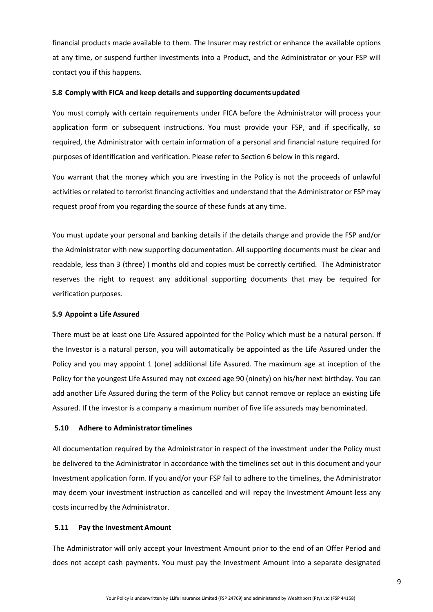financial products made available to them. The Insurer may restrict or enhance the available options at any time, or suspend further investments into a Product, and the Administrator or your FSP will contact you if this happens.

#### **5.8 Comply with FICA and keep details and supporting documentsupdated**

You must comply with certain requirements under FICA before the Administrator will process your application form or subsequent instructions. You must provide your FSP, and if specifically, so required, the Administrator with certain information of a personal and financial nature required for purposes of identification and verification. Please refer to Section 6 below in this regard.

You warrant that the money which you are investing in the Policy is not the proceeds of unlawful activities or related to terrorist financing activities and understand that the Administrator or FSP may request proof from you regarding the source of these funds at any time.

You must update your personal and banking details if the details change and provide the FSP and/or the Administrator with new supporting documentation. All supporting documents must be clear and readable, less than 3 (three) ) months old and copies must be correctly certified. The Administrator reserves the right to request any additional supporting documents that may be required for verification purposes.

#### **5.9 Appoint a Life Assured**

There must be at least one Life Assured appointed for the Policy which must be a natural person. If the Investor is a natural person, you will automatically be appointed as the Life Assured under the Policy and you may appoint 1 (one) additional Life Assured. The maximum age at inception of the Policy for the youngest Life Assured may not exceed age 90 (ninety) on his/her next birthday. You can add another Life Assured during the term of the Policy but cannot remove or replace an existing Life Assured. If the investor is a company a maximum number of five life assureds may benominated.

#### **5.10 Adhere to Administratortimelines**

All documentation required by the Administrator in respect of the investment under the Policy must be delivered to the Administrator in accordance with the timelines set out in this document and your Investment application form. If you and/or your FSP fail to adhere to the timelines, the Administrator may deem your investment instruction as cancelled and will repay the Investment Amount less any costs incurred by the Administrator.

#### **5.11 Pay the Investment Amount**

The Administrator will only accept your Investment Amount prior to the end of an Offer Period and does not accept cash payments. You must pay the Investment Amount into a separate designated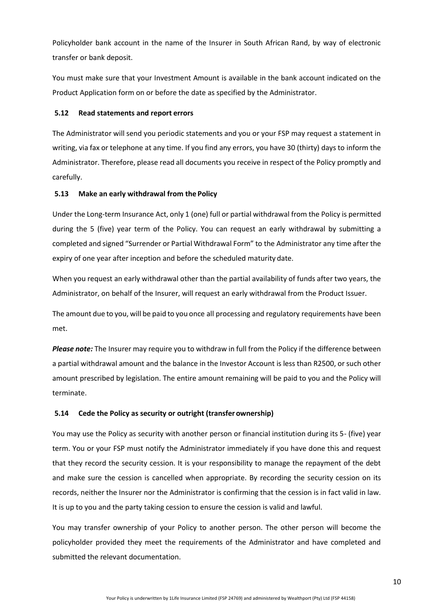Policyholder bank account in the name of the Insurer in South African Rand, by way of electronic transfer or bank deposit.

You must make sure that your Investment Amount is available in the bank account indicated on the Product Application form on or before the date as specified by the Administrator.

#### **5.12 Read statements and report errors**

The Administrator will send you periodic statements and you or your FSP may request a statement in writing, via fax or telephone at any time. If you find any errors, you have 30 (thirty) days to inform the Administrator. Therefore, please read all documents you receive in respect of the Policy promptly and carefully.

## **5.13 Make an early withdrawal from the Policy**

Under the Long-term Insurance Act, only 1 (one) full or partial withdrawal from the Policy is permitted during the 5 (five) year term of the Policy. You can request an early withdrawal by submitting a completed and signed "Surrender or Partial Withdrawal Form" to the Administrator any time after the expiry of one year after inception and before the scheduled maturity date.

When you request an early withdrawal other than the partial availability of funds after two years, the Administrator, on behalf of the Insurer, will request an early withdrawal from the Product Issuer.

The amount due to you, will be paid to you once all processing and regulatory requirements have been met.

*Please note:* The Insurer may require you to withdraw in full from the Policy if the difference between a partial withdrawal amount and the balance in the Investor Account is less than R2500, or such other amount prescribed by legislation. The entire amount remaining will be paid to you and the Policy will terminate.

## **5.14 Cede the Policy as security or outright (transfer ownership)**

You may use the Policy as security with another person or financial institution during its 5- (five) year term. You or your FSP must notify the Administrator immediately if you have done this and request that they record the security cession. It is your responsibility to manage the repayment of the debt and make sure the cession is cancelled when appropriate. By recording the security cession on its records, neither the Insurer nor the Administrator is confirming that the cession is in fact valid in law. It is up to you and the party taking cession to ensure the cession is valid and lawful.

You may transfer ownership of your Policy to another person. The other person will become the policyholder provided they meet the requirements of the Administrator and have completed and submitted the relevant documentation.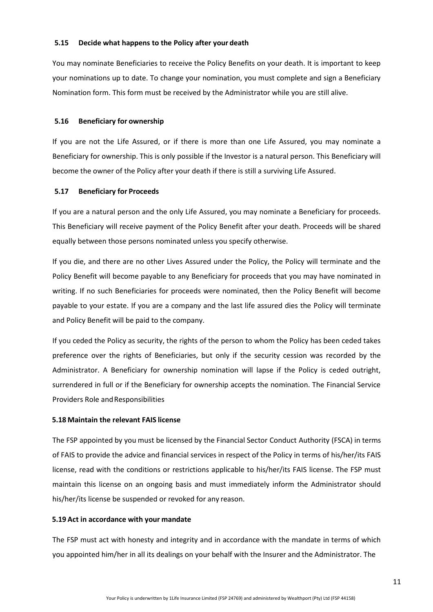#### **5.15 Decide what happens to the Policy after your death**

You may nominate Beneficiaries to receive the Policy Benefits on your death. It is important to keep your nominations up to date. To change your nomination, you must complete and sign a Beneficiary Nomination form. This form must be received by the Administrator while you are still alive.

#### **5.16 Beneficiary for ownership**

If you are not the Life Assured, or if there is more than one Life Assured, you may nominate a Beneficiary for ownership. This is only possible if the Investor is a natural person. This Beneficiary will become the owner of the Policy after your death if there is still a surviving Life Assured.

#### **5.17 Beneficiary for Proceeds**

If you are a natural person and the only Life Assured, you may nominate a Beneficiary for proceeds. This Beneficiary will receive payment of the Policy Benefit after your death. Proceeds will be shared equally between those persons nominated unless you specify otherwise.

If you die, and there are no other Lives Assured under the Policy, the Policy will terminate and the Policy Benefit will become payable to any Beneficiary for proceeds that you may have nominated in writing. If no such Beneficiaries for proceeds were nominated, then the Policy Benefit will become payable to your estate. If you are a company and the last life assured dies the Policy will terminate and Policy Benefit will be paid to the company.

If you ceded the Policy as security, the rights of the person to whom the Policy has been ceded takes preference over the rights of Beneficiaries, but only if the security cession was recorded by the Administrator. A Beneficiary for ownership nomination will lapse if the Policy is ceded outright, surrendered in full or if the Beneficiary for ownership accepts the nomination. The Financial Service Providers Role and Responsibilities

#### **5.18 Maintain the relevant FAIS license**

The FSP appointed by you must be licensed by the Financial Sector Conduct Authority (FSCA) in terms of FAIS to provide the advice and financial services in respect of the Policy in terms of his/her/its FAIS license, read with the conditions or restrictions applicable to his/her/its FAIS license. The FSP must maintain this license on an ongoing basis and must immediately inform the Administrator should his/her/its license be suspended or revoked for any reason.

#### **5.19 Act in accordance with your mandate**

The FSP must act with honesty and integrity and in accordance with the mandate in terms of which you appointed him/her in all its dealings on your behalf with the Insurer and the Administrator. The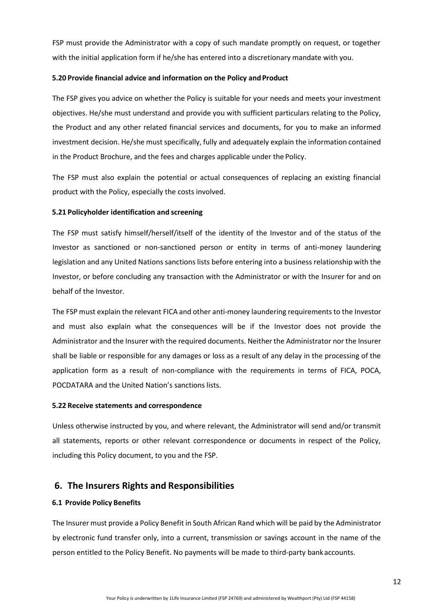FSP must provide the Administrator with a copy of such mandate promptly on request, or together with the initial application form if he/she has entered into a discretionary mandate with you.

#### **5.20** Provide financial advice and information on the Policy and Product

The FSP gives you advice on whether the Policy is suitable for your needs and meets your investment objectives. He/she must understand and provide you with sufficient particulars relating to the Policy, the Product and any other related financial services and documents, for you to make an informed investment decision. He/she must specifically, fully and adequately explain the information contained in the Product Brochure, and the fees and charges applicable under the Policy.

The FSP must also explain the potential or actual consequences of replacing an existing financial product with the Policy, especially the costs involved.

## **5.21 Policyholder identification and screening**

The FSP must satisfy himself/herself/itself of the identity of the Investor and of the status of the Investor as sanctioned or non-sanctioned person or entity in terms of anti-money laundering legislation and any United Nations sanctions lists before entering into a business relationship with the Investor, or before concluding any transaction with the Administrator or with the Insurer for and on behalf of the Investor.

The FSP must explain the relevant FICA and other anti-money laundering requirementsto the Investor and must also explain what the consequences will be if the Investor does not provide the Administrator and the Insurer with the required documents. Neither the Administrator nor the Insurer shall be liable or responsible for any damages or loss as a result of any delay in the processing of the application form as a result of non-compliance with the requirements in terms of FICA, POCA, POCDATARA and the United Nation's sanctions lists.

#### **5.22 Receive statements and correspondence**

Unless otherwise instructed by you, and where relevant, the Administrator will send and/or transmit all statements, reports or other relevant correspondence or documents in respect of the Policy, including this Policy document, to you and the FSP.

# **6. The Insurers Rights and Responsibilities**

## **6.1 Provide Policy Benefits**

The Insurer must provide a Policy Benefit in South African Rand which will be paid by the Administrator by electronic fund transfer only, into a current, transmission or savings account in the name of the person entitled to the Policy Benefit. No payments will be made to third-party bank accounts.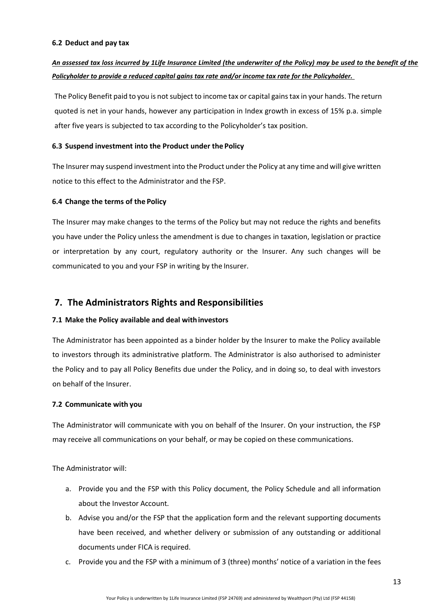#### **6.2 Deduct and pay tax**

# *An assessed tax loss incurred by 1Life Insurance Limited (the underwriter of the Policy) may be used to the benefit of the Policyholder to provide a reduced capital gains tax rate and/or income tax rate for the Policyholder.*

The Policy Benefit paid to you is not subject to income tax or capital gains tax in your hands. The return quoted is net in your hands, however any participation in Index growth in excess of 15% p.a. simple after five years is subjected to tax according to the Policyholder's tax position.

## **6.3 Suspend investment into the Product under the Policy**

The Insurer may suspend investment into the Product under the Policy at any time and will give written notice to this effect to the Administrator and the FSP.

## **6.4 Change the terms of the Policy**

The Insurer may make changes to the terms of the Policy but may not reduce the rights and benefits you have under the Policy unless the amendment is due to changes in taxation, legislation or practice or interpretation by any court, regulatory authority or the Insurer. Any such changes will be communicated to you and your FSP in writing by the Insurer.

# **7. The Administrators Rights and Responsibilities**

## **7.1 Make the Policy available and deal withinvestors**

The Administrator has been appointed as a binder holder by the Insurer to make the Policy available to investors through its administrative platform. The Administrator is also authorised to administer the Policy and to pay all Policy Benefits due under the Policy, and in doing so, to deal with investors on behalf of the Insurer.

## **7.2 Communicate with you**

The Administrator will communicate with you on behalf of the Insurer. On your instruction, the FSP may receive all communications on your behalf, or may be copied on these communications.

The Administrator will:

- a. Provide you and the FSP with this Policy document, the Policy Schedule and all information about the Investor Account.
- b. Advise you and/or the FSP that the application form and the relevant supporting documents have been received, and whether delivery or submission of any outstanding or additional documents under FICA is required.
- c. Provide you and the FSP with a minimum of 3 (three) months' notice of a variation in the fees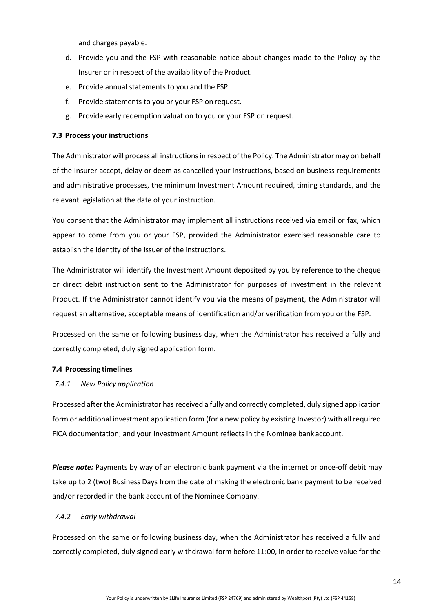and charges payable.

- d. Provide you and the FSP with reasonable notice about changes made to the Policy by the Insurer or in respect of the availability of the Product.
- e. Provide annual statements to you and the FSP.
- f. Provide statements to you or your FSP on request.
- g. Provide early redemption valuation to you or your FSP on request.

#### **7.3 Process your instructions**

The Administrator will process all instructions in respect of the Policy. The Administrator may on behalf of the Insurer accept, delay or deem as cancelled your instructions, based on business requirements and administrative processes, the minimum Investment Amount required, timing standards, and the relevant legislation at the date of your instruction.

You consent that the Administrator may implement all instructions received via email or fax, which appear to come from you or your FSP, provided the Administrator exercised reasonable care to establish the identity of the issuer of the instructions.

The Administrator will identify the Investment Amount deposited by you by reference to the cheque or direct debit instruction sent to the Administrator for purposes of investment in the relevant Product. If the Administrator cannot identify you via the means of payment, the Administrator will request an alternative, acceptable means of identification and/or verification from you or the FSP.

Processed on the same or following business day, when the Administrator has received a fully and correctly completed, duly signed application form.

#### **7.4 Processing timelines**

#### *7.4.1 New Policy application*

Processed after the Administrator has received a fully and correctly completed, duly signed application form or additional investment application form (for a new policy by existing Investor) with all required FICA documentation; and your Investment Amount reflects in the Nominee bank account.

*Please note:* Payments by way of an electronic bank payment via the internet or once-off debit may take up to 2 (two) Business Days from the date of making the electronic bank payment to be received and/or recorded in the bank account of the Nominee Company.

## *7.4.2 Early withdrawal*

Processed on the same or following business day, when the Administrator has received a fully and correctly completed, duly signed early withdrawal form before 11:00, in order to receive value for the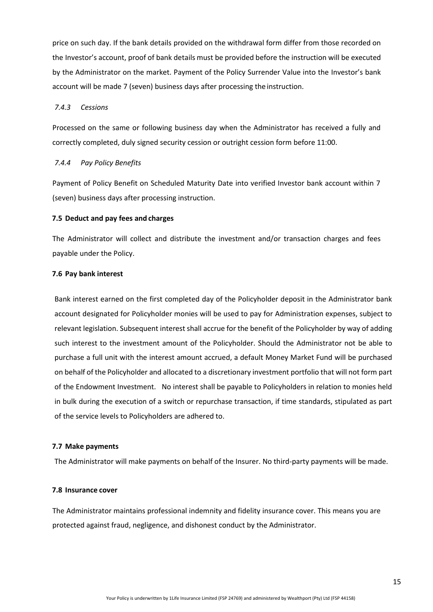price on such day. If the bank details provided on the withdrawal form differ from those recorded on the Investor's account, proof of bank details must be provided before the instruction will be executed by the Administrator on the market. Payment of the Policy Surrender Value into the Investor's bank account will be made 7 (seven) business days after processing the instruction.

#### *7.4.3 Cessions*

Processed on the same or following business day when the Administrator has received a fully and correctly completed, duly signed security cession or outright cession form before 11:00.

#### *7.4.4 Pay Policy Benefits*

Payment of Policy Benefit on Scheduled Maturity Date into verified Investor bank account within 7 (seven) business days after processing instruction.

#### **7.5 Deduct and pay fees and charges**

The Administrator will collect and distribute the investment and/or transaction charges and fees payable under the Policy.

#### **7.6 Pay bank interest**

Bank interest earned on the first completed day of the Policyholder deposit in the Administrator bank account designated for Policyholder monies will be used to pay for Administration expenses, subject to relevant legislation. Subsequent interest shall accrue for the benefit of the Policyholder by way of adding such interest to the investment amount of the Policyholder. Should the Administrator not be able to purchase a full unit with the interest amount accrued, a default Money Market Fund will be purchased on behalf of the Policyholder and allocated to a discretionary investment portfolio that will not form part of the Endowment Investment. No interest shall be payable to Policyholders in relation to monies held in bulk during the execution of a switch or repurchase transaction, if time standards, stipulated as part of the service levels to Policyholders are adhered to.

#### **7.7 Make payments**

The Administrator will make payments on behalf of the Insurer. No third-party payments will be made.

#### **7.8 Insurance cover**

The Administrator maintains professional indemnity and fidelity insurance cover. This means you are protected against fraud, negligence, and dishonest conduct by the Administrator.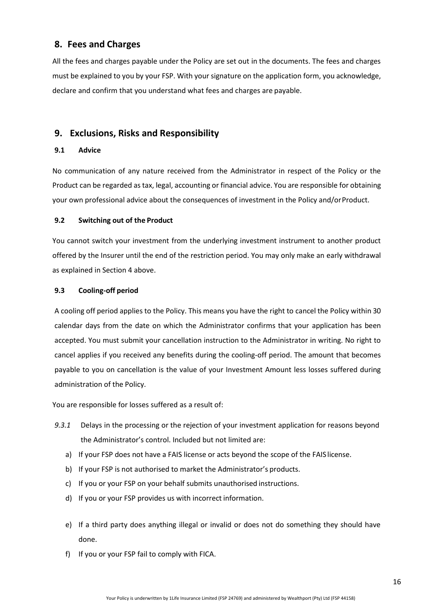# **8. Fees and Charges**

All the fees and charges payable under the Policy are set out in the documents. The fees and charges must be explained to you by your FSP. With your signature on the application form, you acknowledge, declare and confirm that you understand what fees and charges are payable.

# **9. Exclusions, Risks and Responsibility**

## **9.1 Advice**

No communication of any nature received from the Administrator in respect of the Policy or the Product can be regarded astax, legal, accounting or financial advice. You are responsible for obtaining your own professional advice about the consequences of investment in the Policy and/orProduct.

## **9.2 Switching out of the Product**

You cannot switch your investment from the underlying investment instrument to another product offered by the Insurer until the end of the restriction period. You may only make an early withdrawal as explained in Section 4 above.

## **9.3 Cooling-off period**

A cooling off period applies to the Policy. This means you have the right to cancel the Policy within 30 calendar days from the date on which the Administrator confirms that your application has been accepted. You must submit your cancellation instruction to the Administrator in writing. No right to cancel applies if you received any benefits during the cooling-off period. The amount that becomes payable to you on cancellation is the value of your Investment Amount less losses suffered during administration of the Policy.

You are responsible for losses suffered as a result of:

- *9.3.1* Delays in the processing or the rejection of your investment application for reasons beyond the Administrator's control. Included but not limited are:
	- a) If your FSP does not have a FAIS license or acts beyond the scope of the FAIS license.
	- b) If your FSP is not authorised to market the Administrator's products.
	- c) If you or your FSP on your behalf submits unauthorised instructions.
	- d) If you or your FSP provides us with incorrect information.
	- e) If a third party does anything illegal or invalid or does not do something they should have done.
	- f) If you or your FSP fail to comply with FICA.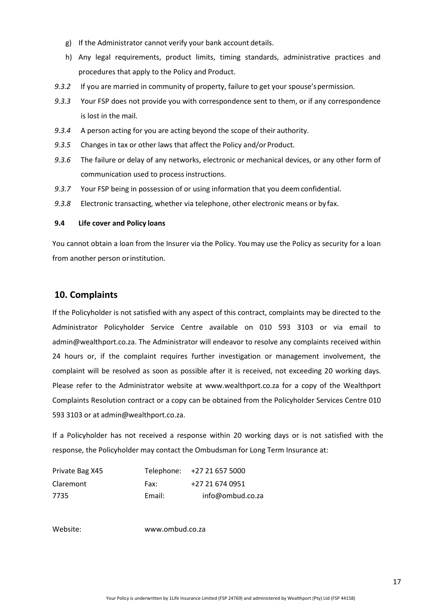- g) If the Administrator cannot verify your bank account details.
- h) Any legal requirements, product limits, timing standards, administrative practices and procedures that apply to the Policy and Product.
- 9.3.2 If you are married in community of property, failure to get your spouse's permission.
- *9.3.3* Your FSP does not provide you with correspondence sent to them, or if any correspondence is lost in the mail.
- *9.3.4* A person acting for you are acting beyond the scope of their authority.
- *9.3.5* Changes in tax or other laws that affect the Policy and/or Product.
- *9.3.6* The failure or delay of any networks, electronic or mechanical devices, or any other form of communication used to process instructions.
- *9.3.7* Your FSP being in possession of or using information that you deemconfidential.
- *9.3.8* Electronic transacting, whether via telephone, other electronic means or by fax.

#### **9.4 Life cover and Policy loans**

You cannot obtain a loan from the Insurer via the Policy. You may use the Policy as security for a loan from another person orinstitution.

# **10. Complaints**

If the Policyholder is not satisfied with any aspect of this contract, complaints may be directed to the Administrator Policyholder Service Centre available on 010 593 3103 or via email to [admin@wealthport.co.za.](mailto:admin@wealthport.co.za) The Administrator will endeavor to resolve any complaints received within 24 hours or, if the complaint requires further investigation or management involvement, the complaint will be resolved as soon as possible after it is received, not exceeding 20 working days. Please refer to the Administrator website at [www.wealthport.co.za](http://www.wealthport.co.za/) for a copy of the Wealthport Complaints Resolution contract or a copy can be obtained from the Policyholder Services Centre 010 593 3103 or at [admin@wealthport.co.za.](mailto:admin@wealthport.co.za)

If a Policyholder has not received a response within 20 working days or is not satisfied with the response, the Policyholder may contact the Ombudsman for Long Term Insurance at:

| Private Bag X45 |        | Telephone: +27 21 657 5000 |
|-----------------|--------|----------------------------|
| Claremont       | Fax:   | +27 21 674 0951            |
| 7735            | Email: | info@ombud.co.za           |

Website: [www.ombud.co.za](http://www.ombud.co.za/)